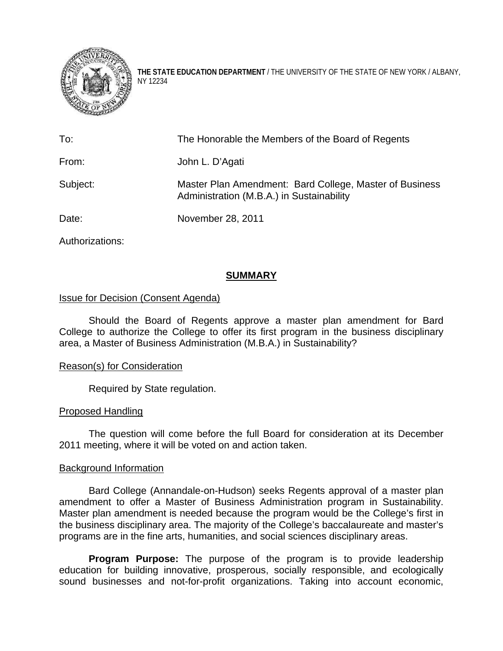

**THE STATE EDUCATION DEPARTMENT** / THE UNIVERSITY OF THE STATE OF NEW YORK / ALBANY, NY 12234

| The Honorable the Members of the Board of Regents                                                    |
|------------------------------------------------------------------------------------------------------|
| John L. D'Agati                                                                                      |
| Master Plan Amendment: Bard College, Master of Business<br>Administration (M.B.A.) in Sustainability |
| November 28, 2011                                                                                    |
|                                                                                                      |

Authorizations:

# **SUMMARY**

## Issue for Decision (Consent Agenda)

Should the Board of Regents approve a master plan amendment for Bard College to authorize the College to offer its first program in the business disciplinary area, a Master of Business Administration (M.B.A.) in Sustainability?

### Reason(s) for Consideration

Required by State regulation.

### Proposed Handling

The question will come before the full Board for consideration at its December 2011 meeting, where it will be voted on and action taken.

### Background Information

Bard College (Annandale-on-Hudson) seeks Regents approval of a master plan amendment to offer a Master of Business Administration program in Sustainability. Master plan amendment is needed because the program would be the College's first in the business disciplinary area. The majority of the College's baccalaureate and master's programs are in the fine arts, humanities, and social sciences disciplinary areas.

**Program Purpose:** The purpose of the program is to provide leadership education for building innovative, prosperous, socially responsible, and ecologically sound businesses and not-for-profit organizations. Taking into account economic,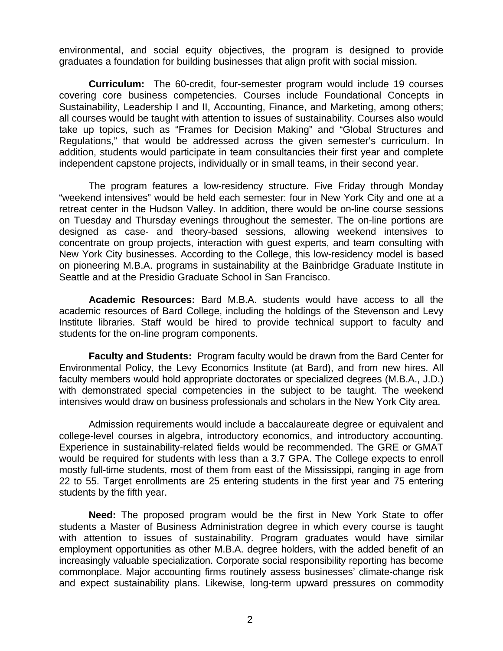environmental, and social equity objectives, the program is designed to provide graduates a foundation for building businesses that align profit with social mission.

**Curriculum:** The 60-credit, four-semester program would include 19 courses covering core business competencies. Courses include Foundational Concepts in Sustainability, Leadership I and II, Accounting, Finance, and Marketing, among others; all courses would be taught with attention to issues of sustainability. Courses also would take up topics, such as "Frames for Decision Making" and "Global Structures and Regulations," that would be addressed across the given semester's curriculum. In addition, students would participate in team consultancies their first year and complete independent capstone projects, individually or in small teams, in their second year.

 The program features a low-residency structure. Five Friday through Monday "weekend intensives" would be held each semester: four in New York City and one at a retreat center in the Hudson Valley. In addition, there would be on-line course sessions on Tuesday and Thursday evenings throughout the semester. The on-line portions are designed as case- and theory-based sessions, allowing weekend intensives to concentrate on group projects, interaction with guest experts, and team consulting with New York City businesses. According to the College, this low-residency model is based on pioneering M.B.A. programs in sustainability at the Bainbridge Graduate Institute in Seattle and at the Presidio Graduate School in San Francisco.

**Academic Resources:** Bard M.B.A. students would have access to all the academic resources of Bard College, including the holdings of the Stevenson and Levy Institute libraries. Staff would be hired to provide technical support to faculty and students for the on-line program components.

**Faculty and Students:** Program faculty would be drawn from the Bard Center for Environmental Policy, the Levy Economics Institute (at Bard), and from new hires. All faculty members would hold appropriate doctorates or specialized degrees (M.B.A., J.D.) with demonstrated special competencies in the subject to be taught. The weekend intensives would draw on business professionals and scholars in the New York City area.

 Admission requirements would include a baccalaureate degree or equivalent and college-level courses in algebra, introductory economics, and introductory accounting. Experience in sustainability-related fields would be recommended. The GRE or GMAT would be required for students with less than a 3.7 GPA. The College expects to enroll mostly full-time students, most of them from east of the Mississippi, ranging in age from 22 to 55. Target enrollments are 25 entering students in the first year and 75 entering students by the fifth year.

 **Need:** The proposed program would be the first in New York State to offer students a Master of Business Administration degree in which every course is taught with attention to issues of sustainability. Program graduates would have similar employment opportunities as other M.B.A. degree holders, with the added benefit of an increasingly valuable specialization. Corporate social responsibility reporting has become commonplace. Major accounting firms routinely assess businesses' climate-change risk and expect sustainability plans. Likewise, long-term upward pressures on commodity